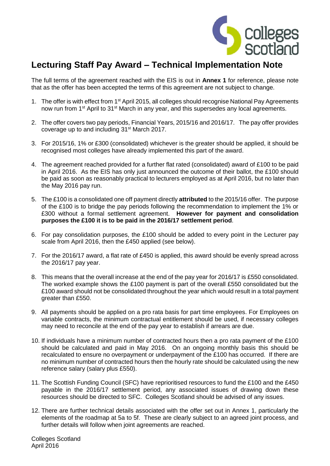

## **Lecturing Staff Pay Award – Technical Implementation Note**

The full terms of the agreement reached with the EIS is out in **Annex 1** for reference, please note that as the offer has been accepted the terms of this agreement are not subject to change.

- 1. The offer is with effect from 1<sup>st</sup> April 2015, all colleges should recognise National Pay Agreements now run from 1<sup>st</sup> April to 31<sup>st</sup> March in any year, and this supersedes any local agreements.
- 2. The offer covers two pay periods, Financial Years, 2015/16 and 2016/17. The pay offer provides coverage up to and including 31<sup>st</sup> March 2017.
- 3. For 2015/16, 1% or £300 (consolidated) whichever is the greater should be applied, it should be recognised most colleges have already implemented this part of the award.
- 4. The agreement reached provided for a further flat rated (consolidated) award of £100 to be paid in April 2016. As the EIS has only just announced the outcome of their ballot, the £100 should be paid as soon as reasonably practical to lecturers employed as at April 2016, but no later than the May 2016 pay run.
- 5. The £100 is a consolidated one off payment directly **attributed** to the 2015/16 offer. The purpose of the £100 is to bridge the pay periods following the recommendation to implement the 1% or £300 without a formal settlement agreement. **However for payment and consolidation purposes the £100 it is to be paid in the 2016/17 settlement period**.
- 6. For pay consolidation purposes, the £100 should be added to every point in the Lecturer pay scale from April 2016, then the £450 applied (see below).
- 7. For the 2016/17 award, a flat rate of £450 is applied, this award should be evenly spread across the 2016/17 pay year.
- 8. This means that the overall increase at the end of the pay year for 2016/17 is £550 consolidated. The worked example shows the £100 payment is part of the overall £550 consolidated but the £100 award should not be consolidated throughout the year which would result in a total payment greater than £550.
- 9. All payments should be applied on a pro rata basis for part time employees. For Employees on variable contracts, the minimum contractual entitlement should be used, if necessary colleges may need to reconcile at the end of the pay year to establish if arrears are due.
- 10. If individuals have a minimum number of contracted hours then a pro rata payment of the £100 should be calculated and paid in May 2016. On an ongoing monthly basis this should be recalculated to ensure no overpayment or underpayment of the £100 has occurred. If there are no minimum number of contracted hours then the hourly rate should be calculated using the new reference salary (salary plus £550).
- 11. The Scottish Funding Council (SFC) have reprioritised resources to fund the £100 and the £450 payable in the 2016/17 settlement period, any associated issues of drawing down these resources should be directed to SFC. Colleges Scotland should be advised of any issues.
- 12. There are further technical details associated with the offer set out in Annex 1, particularly the elements of the roadmap at 5a to 5f. These are clearly subject to an agreed joint process, and further details will follow when joint agreements are reached.

Colleges Scotland April 2016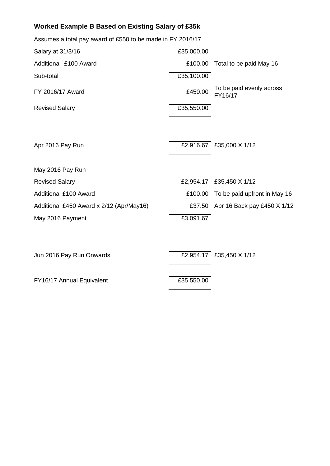## **Worked Example B Based on Existing Salary of £35k**

| Assumes a total pay award of £550 to be made in FY 2016/17. |            |                                     |
|-------------------------------------------------------------|------------|-------------------------------------|
| Salary at 31/3/16                                           | £35,000.00 |                                     |
| Additional £100 Award                                       | £100.00    | Total to be paid May 16             |
| Sub-total                                                   | £35,100.00 |                                     |
| FY 2016/17 Award                                            | £450.00    | To be paid evenly across<br>FY16/17 |
| <b>Revised Salary</b>                                       | £35,550.00 |                                     |
| Apr 2016 Pay Run                                            |            | £2,916.67 £35,000 X 1/12            |
| May 2016 Pay Run                                            |            |                                     |
| <b>Revised Salary</b>                                       | £2,954.17  | £35,450 X 1/12                      |
| <b>Additional £100 Award</b>                                | £100.00    | To be paid upfront in May 16        |
| Additional £450 Award x 2/12 (Apr/May16)                    | £37.50     | Apr 16 Back pay £450 X 1/12         |
| May 2016 Payment                                            | £3,091.67  |                                     |
|                                                             |            |                                     |
|                                                             |            |                                     |

Jun 2016 Pay Run Onwards £2,954.17 £35,450 X 1/12

FY16/17 Annual Equivalent **EXACTER** E35,550.00